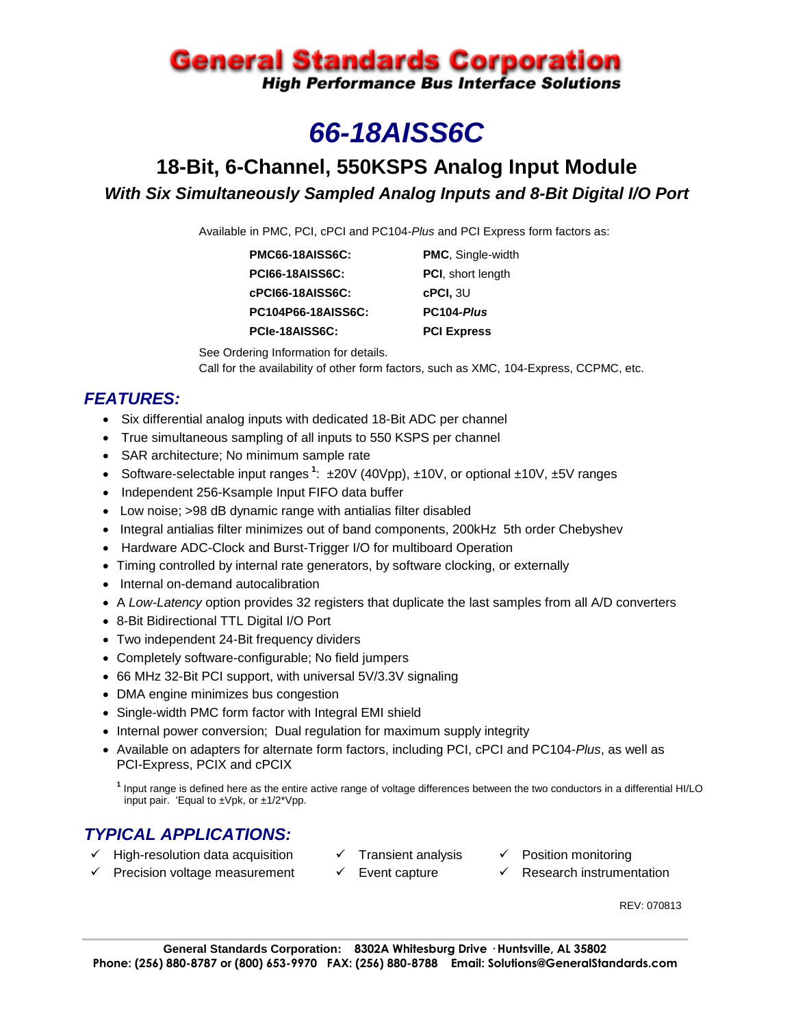# **General Standards Corporation**

**High Performance Bus Interface Solutions** 

# *66-18AISS6C*

# **18-Bit, 6-Channel, 550KSPS Analog Input Module** *With Six Simultaneously Sampled Analog Inputs and 8-Bit Digital I/O Port*

Available in PMC, PCI, cPCI and PC104-*Plus* and PCI Express form factors as:

| PMC66-18AISS6C:        | <b>PMC, Single-width</b>  |
|------------------------|---------------------------|
| <b>PCI66-18AISS6C:</b> | <b>PCI</b> , short length |
| cPCI66-18AISS6C:       | $c$ PCI, $3U$             |
| PC104P66-18AISS6C:     | PC104-Plus                |
| PCIe-18AISS6C:         | <b>PCI Express</b>        |

See Ordering Information for details. Call for the availability of other form factors, such as XMC, 104-Express, CCPMC, etc.

## *FEATURES:*

- Six differential analog inputs with dedicated 18-Bit ADC per channel
- True simultaneous sampling of all inputs to 550 KSPS per channel
- SAR architecture; No minimum sample rate
- Software-selectable input ranges<sup>1</sup>:  $\pm 20V$  (40Vpp),  $\pm 10V$ , or optional  $\pm 10V$ ,  $\pm 5V$  ranges
- Independent 256-Ksample Input FIFO data buffer
- Low noise; >98 dB dynamic range with antialias filter disabled
- Integral antialias filter minimizes out of band components, 200kHz 5th order Chebyshev
- Hardware ADC-Clock and Burst-Trigger I/O for multiboard Operation
- Timing controlled by internal rate generators, by software clocking, or externally
- Internal on-demand autocalibration
- A *Low-Latency* option provides 32 registers that duplicate the last samples from all A/D converters
- 8-Bit Bidirectional TTL Digital I/O Port
- Two independent 24-Bit frequency dividers
- Completely software-configurable; No field jumpers
- 66 MHz 32-Bit PCI support, with universal 5V/3.3V signaling
- DMA engine minimizes bus congestion
- Single-width PMC form factor with Integral EMI shield
- Internal power conversion; Dual regulation for maximum supply integrity
- Available on adapters for alternate form factors, including PCI, cPCI and PC104-*Plus*, as well as PCI-Express, PCIX and cPCIX

**1** Input range is defined here as the entire active range of voltage differences between the two conductors in a differential HI/LO input pair. 'Equal to ±Vpk, or ±1/2\*Vpp.

### *TYPICAL APPLICATIONS:*

- 
- $\checkmark$  High-resolution data acquisition  $\checkmark$  Transient analysis  $\checkmark$  Position monitoring
- $\checkmark$  Precision voltage measurement  $\checkmark$  Event capture  $\checkmark$  Research instrumentation
- 
- 
- 
- 
- - REV: 070813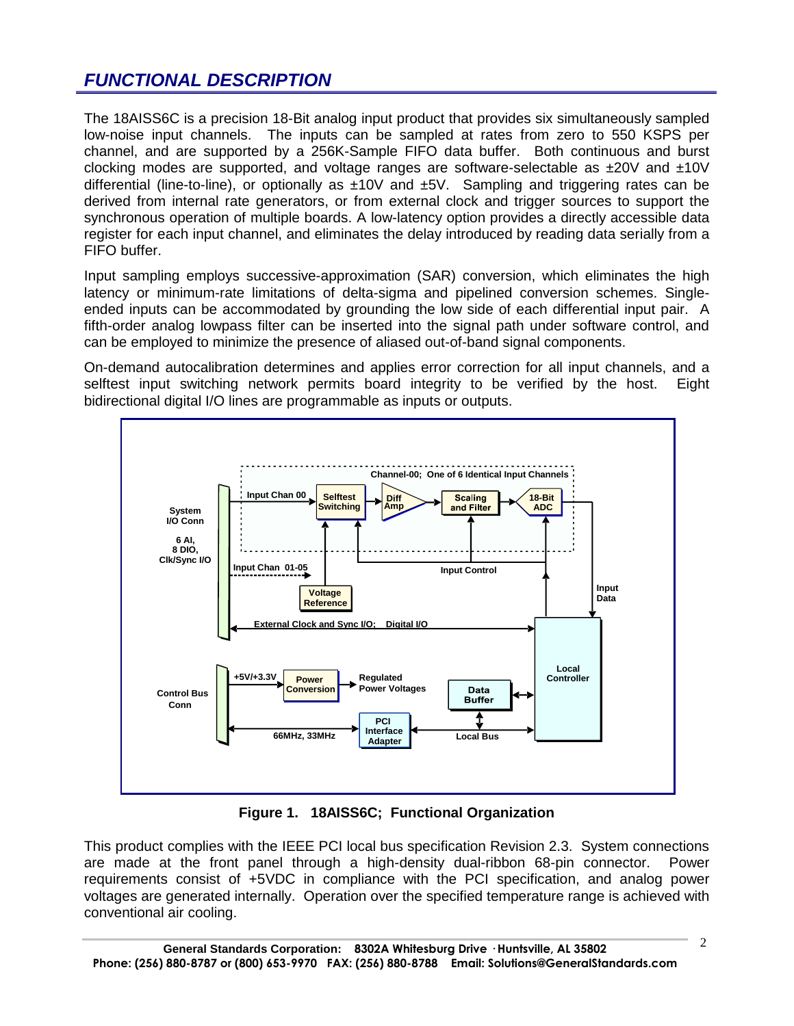# *FUNCTIONAL DESCRIPTION*

The 18AISS6C is a precision 18-Bit analog input product that provides six simultaneously sampled low-noise input channels. The inputs can be sampled at rates from zero to 550 KSPS per channel, and are supported by a 256K-Sample FIFO data buffer. Both continuous and burst clocking modes are supported, and voltage ranges are software-selectable as  $\pm 20V$  and  $\pm 10V$ differential (line-to-line), or optionally as  $\pm 10V$  and  $\pm 5V$ . Sampling and triggering rates can be derived from internal rate generators, or from external clock and trigger sources to support the synchronous operation of multiple boards. A low-latency option provides a directly accessible data register for each input channel, and eliminates the delay introduced by reading data serially from a FIFO buffer.

Input sampling employs successive-approximation (SAR) conversion, which eliminates the high latency or minimum-rate limitations of delta-sigma and pipelined conversion schemes. Singleended inputs can be accommodated by grounding the low side of each differential input pair. A fifth-order analog lowpass filter can be inserted into the signal path under software control, and can be employed to minimize the presence of aliased out-of-band signal components.

On-demand autocalibration determines and applies error correction for all input channels, and a selftest input switching network permits board integrity to be verified by the host. Eight bidirectional digital I/O lines are programmable as inputs or outputs.



**Figure 1. 18AISS6C; Functional Organization**

This product complies with the IEEE PCI local bus specification Revision 2.3. System connections are made at the front panel through a high-density dual-ribbon 68-pin connector. Power requirements consist of +5VDC in compliance with the PCI specification, and analog power voltages are generated internally. Operation over the specified temperature range is achieved with conventional air cooling.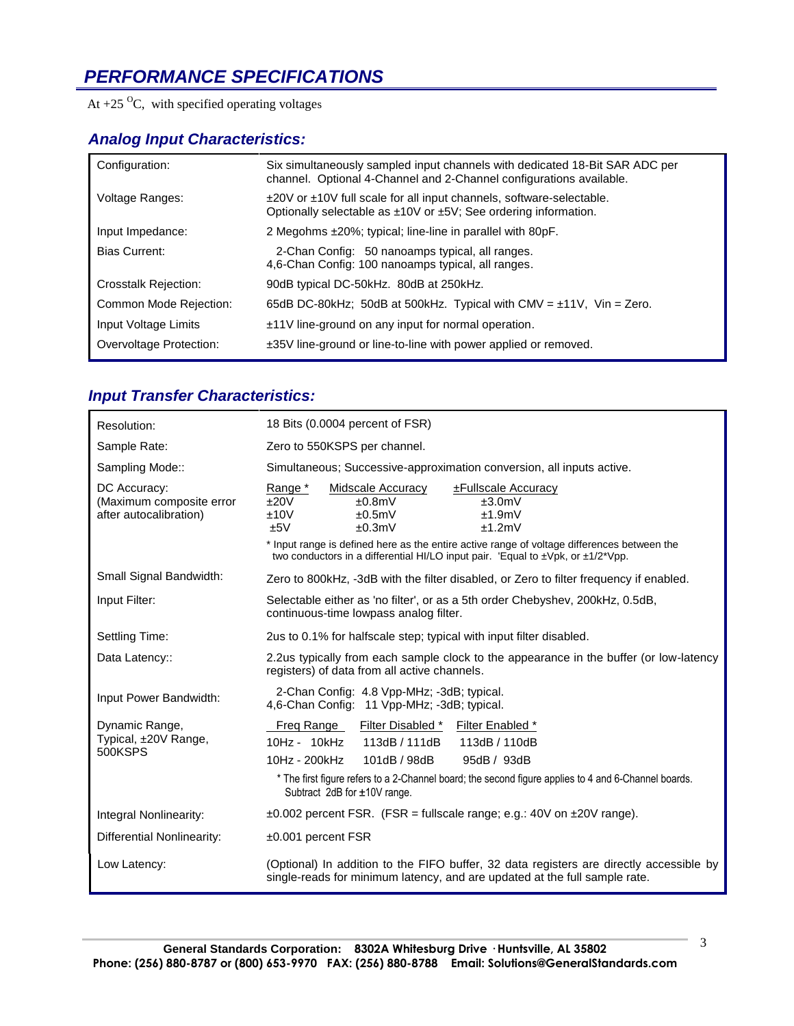# *PERFORMANCE SPECIFICATIONS*

At  $+25$  <sup>O</sup>C, with specified operating voltages

#### *Analog Input Characteristics:*

| Configuration:              | Six simultaneously sampled input channels with dedicated 18-Bit SAR ADC per<br>channel. Optional 4-Channel and 2-Channel configurations available.           |
|-----------------------------|--------------------------------------------------------------------------------------------------------------------------------------------------------------|
| Voltage Ranges:             | $\pm$ 20V or $\pm$ 10V full scale for all input channels, software-selectable.<br>Optionally selectable as $\pm 10V$ or $\pm 5V$ ; See ordering information. |
| Input Impedance:            | 2 Megohms $\pm 20\%$ ; typical; line-line in parallel with 80pF.                                                                                             |
| Bias Current:               | 2-Chan Config: 50 nanoamps typical, all ranges.<br>4,6-Chan Config: 100 nanoamps typical, all ranges.                                                        |
| <b>Crosstalk Rejection:</b> | 90dB typical DC-50kHz. 80dB at 250kHz.                                                                                                                       |
| Common Mode Rejection:      | 65dB DC-80kHz; 50dB at 500kHz. Typical with CMV = $\pm$ 11V, Vin = Zero.                                                                                     |
| Input Voltage Limits        | ±11V line-ground on any input for normal operation.                                                                                                          |
| Overvoltage Protection:     | $\pm 35V$ line-ground or line-to-line with power applied or removed.                                                                                         |

## *Input Transfer Characteristics:*

| Resolution:                                                        | 18 Bits (0.0004 percent of FSR)                                                                                                                                                                                                                                                                                                                               |  |  |
|--------------------------------------------------------------------|---------------------------------------------------------------------------------------------------------------------------------------------------------------------------------------------------------------------------------------------------------------------------------------------------------------------------------------------------------------|--|--|
| Sample Rate:                                                       | Zero to 550KSPS per channel.                                                                                                                                                                                                                                                                                                                                  |  |  |
| Sampling Mode::                                                    | Simultaneous; Successive-approximation conversion, all inputs active.                                                                                                                                                                                                                                                                                         |  |  |
| DC Accuracy:<br>(Maximum composite error<br>after autocalibration) | Range *<br><b>Midscale Accuracy</b><br><b>±Fullscale Accuracy</b><br>±20V<br>±3.0mV<br>±0.8mV<br>±10V<br>±0.5mV<br>±1.9mV<br>±5V<br>±0.3mV<br>±1.2mV<br>* Input range is defined here as the entire active range of voltage differences between the<br>two conductors in a differential HI/LO input pair. 'Equal to $\pm$ Vpk, or $\pm$ 1/2 <sup>*</sup> Vpp. |  |  |
| Small Signal Bandwidth:                                            | Zero to 800kHz, -3dB with the filter disabled, or Zero to filter frequency if enabled.                                                                                                                                                                                                                                                                        |  |  |
| Input Filter:                                                      | Selectable either as 'no filter', or as a 5th order Chebyshev, 200kHz, 0.5dB,<br>continuous-time lowpass analog filter.                                                                                                                                                                                                                                       |  |  |
| Settling Time:                                                     | 2us to 0.1% for halfscale step; typical with input filter disabled.                                                                                                                                                                                                                                                                                           |  |  |
| Data Latency::                                                     | 2.2us typically from each sample clock to the appearance in the buffer (or low-latency<br>registers) of data from all active channels.                                                                                                                                                                                                                        |  |  |
| Input Power Bandwidth:                                             | 2-Chan Config: 4.8 Vpp-MHz; -3dB; typical.<br>4,6-Chan Config: 11 Vpp-MHz; -3dB; typical.                                                                                                                                                                                                                                                                     |  |  |
| Dynamic Range,<br>Typical, ±20V Range,<br>500KSPS                  | Filter Disabled * Filter Enabled *<br>Freg Range<br>10Hz - 10kHz<br>113dB / 111dB<br>113dB / 110dB<br>101dB / 98dB<br>10Hz - 200kHz<br>95dB / 93dB<br>* The first figure refers to a 2-Channel board; the second figure applies to 4 and 6-Channel boards.<br>Subtract 2dB for ±10V range.                                                                    |  |  |
| Integral Nonlinearity:                                             | $\pm 0.002$ percent FSR. (FSR = fullscale range; e.g.: 40V on $\pm 20V$ range).                                                                                                                                                                                                                                                                               |  |  |
| <b>Differential Nonlinearity:</b>                                  | $±0.001$ percent FSR                                                                                                                                                                                                                                                                                                                                          |  |  |
| Low Latency:                                                       | (Optional) In addition to the FIFO buffer, 32 data registers are directly accessible by<br>single-reads for minimum latency, and are updated at the full sample rate.                                                                                                                                                                                         |  |  |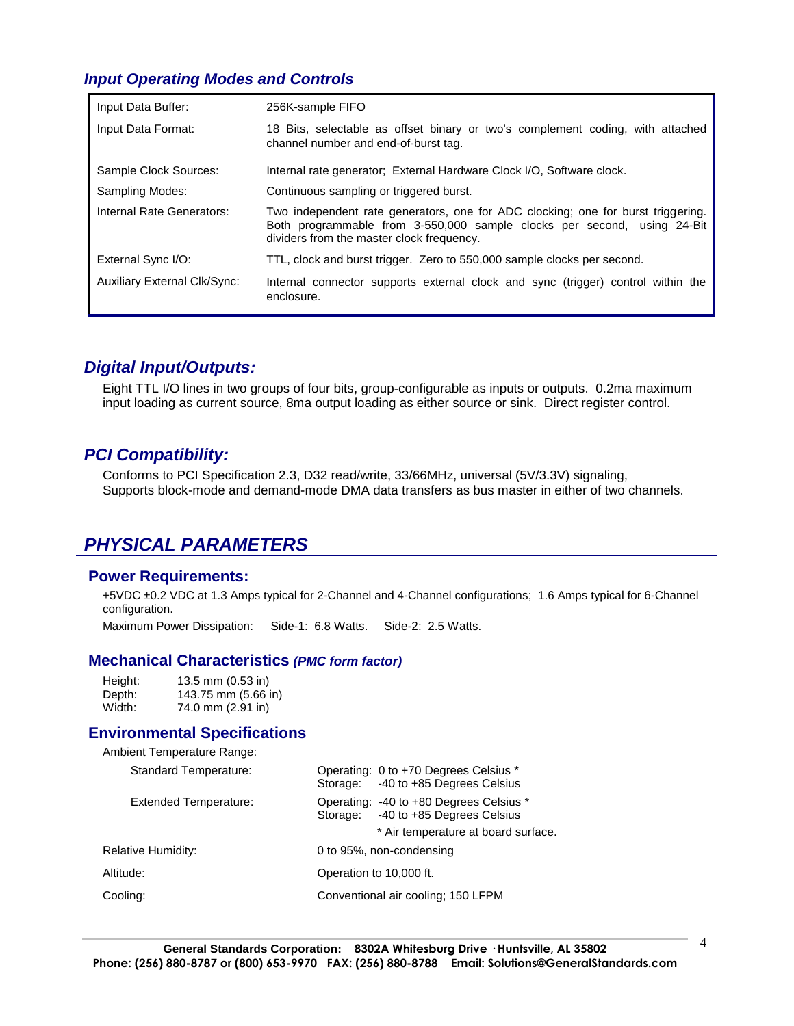#### *Input Operating Modes and Controls*

| Input Data Buffer:                  | 256K-sample FIFO                                                                                                                                                                                         |
|-------------------------------------|----------------------------------------------------------------------------------------------------------------------------------------------------------------------------------------------------------|
| Input Data Format:                  | 18 Bits, selectable as offset binary or two's complement coding, with attached<br>channel number and end-of-burst tag.                                                                                   |
| Sample Clock Sources:               | Internal rate generator: External Hardware Clock I/O, Software clock.                                                                                                                                    |
| Sampling Modes:                     | Continuous sampling or triggered burst.                                                                                                                                                                  |
| Internal Rate Generators:           | Two independent rate generators, one for ADC clocking; one for burst triggering.<br>Both programmable from 3-550,000 sample clocks per second, using 24-Bit<br>dividers from the master clock frequency. |
| External Sync I/O:                  | TTL, clock and burst trigger. Zero to 550,000 sample clocks per second.                                                                                                                                  |
| <b>Auxiliary External Clk/Sync:</b> | Internal connector supports external clock and sync (trigger) control within the<br>enclosure.                                                                                                           |

#### *Digital Input/Outputs:*

Eight TTL I/O lines in two groups of four bits, group-configurable as inputs or outputs. 0.2ma maximum input loading as current source, 8ma output loading as either source or sink. Direct register control.

#### *PCI Compatibility:*

Conforms to PCI Specification 2.3, D32 read/write, 33/66MHz, universal (5V/3.3V) signaling, Supports block-mode and demand-mode DMA data transfers as bus master in either of two channels.

### *PHYSICAL PARAMETERS*

#### **Power Requirements:**

+5VDC ±0.2 VDC at 1.3 Amps typical for 2-Channel and 4-Channel configurations; 1.6 Amps typical for 6-Channel configuration.

Maximum Power Dissipation: Side-1: 6.8 Watts. Side-2: 2.5 Watts.

#### **Mechanical Characteristics** *(PMC form factor)*

| Height: | 13.5 mm (0.53 in)   |
|---------|---------------------|
| Depth:  | 143.75 mm (5.66 in) |
| Width:  | 74.0 mm (2.91 in)   |

#### **Environmental Specifications**

| Ambient Temperature Range:                     |                                                                                                                          |
|------------------------------------------------|--------------------------------------------------------------------------------------------------------------------------|
| <b>Standard Temperature:</b>                   | Operating: 0 to +70 Degrees Celsius *<br>-40 to +85 Degrees Celsius<br>Storage:                                          |
| Extended Temperature:                          | Operating: -40 to +80 Degrees Celsius *<br>-40 to +85 Degrees Celsius<br>Storage:<br>* Air temperature at board surface. |
| Relative Humidity:                             | 0 to 95%, non-condensing                                                                                                 |
| Altitude:                                      | Operation to 10,000 ft.                                                                                                  |
| Cooling:<br>Conventional air cooling: 150 LFPM |                                                                                                                          |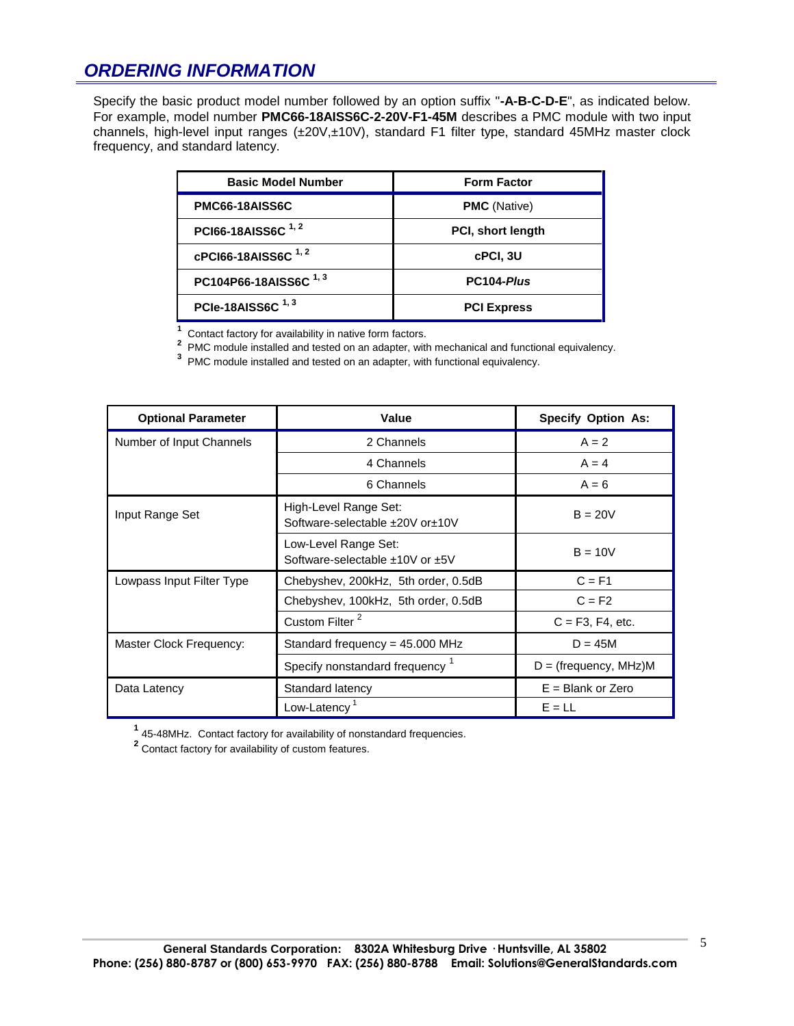## *ORDERING INFORMATION*

Specify the basic product model number followed by an option suffix "**-A-B-C-D-E**", as indicated below. For example, model number **PMC66-18AISS6C-2-20V-F1-45M** describes a PMC module with two input channels, high-level input ranges (±20V,±10V), standard F1 filter type, standard 45MHz master clock frequency, and standard latency.

| <b>Basic Model Number</b>        | <b>Form Factor</b>  |
|----------------------------------|---------------------|
| PMC66-18AISS6C                   | <b>PMC</b> (Native) |
| PCI66-18AISS6C <sup>1,2</sup>    | PCI, short length   |
| cPCI66-18AISS6C <sup>1,2</sup>   | cPCI, 3U            |
| PC104P66-18AISS6C <sup>1,3</sup> | PC104-Plus          |
| PCIe-18AISS6C <sup>1,3</sup>     | <b>PCI Express</b>  |

**1** Contact factory for availability in native form factors. **2** PMC module installed and tested on an adapter, with mechanical and functional equivalency.

**3** PMC module installed and tested on an adapter, with functional equivalency.

| <b>Optional Parameter</b> | Value                                                       | <b>Specify Option As:</b> |
|---------------------------|-------------------------------------------------------------|---------------------------|
| Number of Input Channels  | 2 Channels                                                  | $A = 2$                   |
|                           | 4 Channels                                                  | $A = 4$                   |
|                           | 6 Channels                                                  | $A = 6$                   |
| Input Range Set           | High-Level Range Set:<br>Software-selectable ±20V or±10V    | $B = 20V$                 |
|                           | Low-Level Range Set:<br>Software-selectable $±10V$ or $±5V$ | $B = 10V$                 |
| Lowpass Input Filter Type | Chebyshev, 200kHz, 5th order, 0.5dB                         | $C = F1$                  |
|                           | Chebyshev, 100kHz, 5th order, 0.5dB                         | $C = F2$                  |
|                           | Custom Filter <sup>2</sup>                                  | $C = F3, F4, etc.$        |
| Master Clock Frequency:   | Standard frequency = $45.000$ MHz                           | $D = 45M$                 |
|                           | Specify nonstandard frequency <sup>1</sup>                  | $D = (frequency, MHz)$ M  |
| Data Latency              | Standard latency                                            | $E =$ Blank or Zero       |
|                           | Low-Latency <sup>1</sup>                                    | $E = LL$                  |

**1** 45-48MHz. Contact factory for availability of nonstandard frequencies.

**2** Contact factory for availability of custom features.